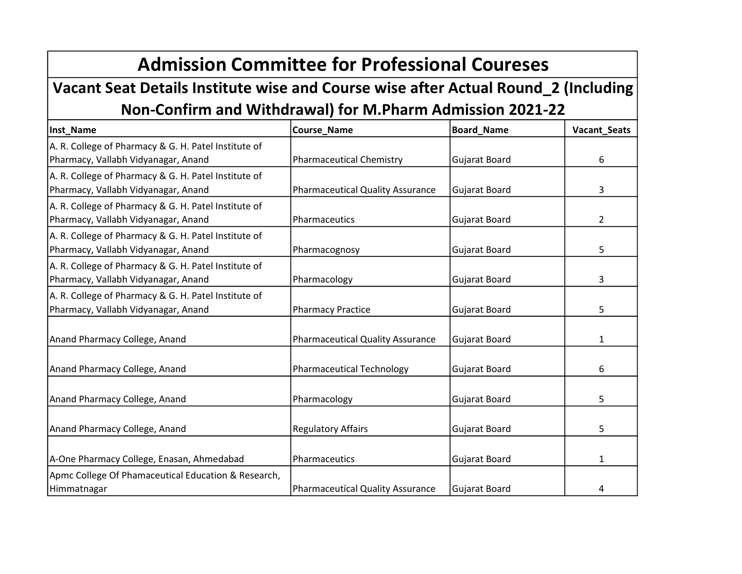## Admission Committee for Professional Coureses

## Vacant Seat Details Institute wise and Course wise after Actual Round\_2 (Including Non-Confirm and Withdrawal) for M.Pharm Admission 2021-22

| Inst_Name                                            | Course_Name                             | <b>Board_Name</b>    | Vacant_Seats   |
|------------------------------------------------------|-----------------------------------------|----------------------|----------------|
| A. R. College of Pharmacy & G. H. Patel Institute of |                                         |                      |                |
| Pharmacy, Vallabh Vidyanagar, Anand                  | <b>Pharmaceutical Chemistry</b>         | Gujarat Board        | 6              |
| A. R. College of Pharmacy & G. H. Patel Institute of |                                         |                      |                |
| Pharmacy, Vallabh Vidyanagar, Anand                  | <b>Pharmaceutical Quality Assurance</b> | Gujarat Board        | 3              |
| A. R. College of Pharmacy & G. H. Patel Institute of |                                         |                      |                |
| Pharmacy, Vallabh Vidyanagar, Anand                  | Pharmaceutics                           | Gujarat Board        | $\overline{2}$ |
| A. R. College of Pharmacy & G. H. Patel Institute of |                                         |                      |                |
| Pharmacy, Vallabh Vidyanagar, Anand                  | Pharmacognosy                           | Gujarat Board        | 5              |
| A. R. College of Pharmacy & G. H. Patel Institute of |                                         |                      |                |
| Pharmacy, Vallabh Vidyanagar, Anand                  | Pharmacology                            | <b>Gujarat Board</b> | 3              |
| A. R. College of Pharmacy & G. H. Patel Institute of |                                         |                      |                |
| Pharmacy, Vallabh Vidyanagar, Anand                  | <b>Pharmacy Practice</b>                | <b>Gujarat Board</b> | 5              |
|                                                      |                                         |                      |                |
| Anand Pharmacy College, Anand                        | <b>Pharmaceutical Quality Assurance</b> | <b>Gujarat Board</b> | 1              |
|                                                      |                                         |                      |                |
| Anand Pharmacy College, Anand                        | <b>Pharmaceutical Technology</b>        | Gujarat Board        | 6              |
|                                                      |                                         |                      |                |
| Anand Pharmacy College, Anand                        | Pharmacology                            | Gujarat Board        | 5              |
|                                                      |                                         |                      |                |
| Anand Pharmacy College, Anand                        | <b>Regulatory Affairs</b>               | <b>Gujarat Board</b> | 5              |
|                                                      |                                         |                      |                |
| A-One Pharmacy College, Enasan, Ahmedabad            | Pharmaceutics                           | Gujarat Board        | 1              |
| Apmc College Of Phamaceutical Education & Research,  |                                         |                      |                |
| Himmatnagar                                          | <b>Pharmaceutical Quality Assurance</b> | Gujarat Board        | 4              |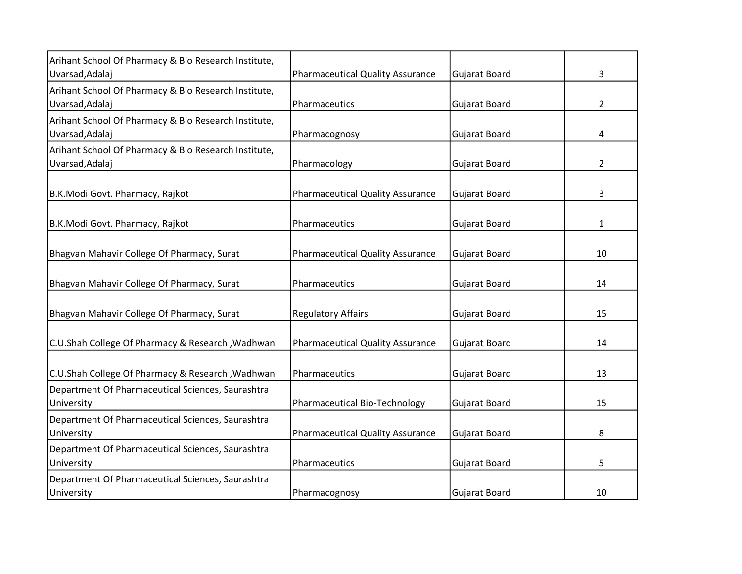| Arihant School Of Pharmacy & Bio Research Institute,<br>Uvarsad, Adalaj | <b>Pharmaceutical Quality Assurance</b> | Gujarat Board        | 3              |
|-------------------------------------------------------------------------|-----------------------------------------|----------------------|----------------|
|                                                                         |                                         |                      |                |
| Arihant School Of Pharmacy & Bio Research Institute,<br>Uvarsad, Adalaj | Pharmaceutics                           | Gujarat Board        | $\overline{2}$ |
| Arihant School Of Pharmacy & Bio Research Institute,                    |                                         |                      |                |
| Uvarsad, Adalaj                                                         | Pharmacognosy                           | Gujarat Board        | 4              |
| Arihant School Of Pharmacy & Bio Research Institute,                    |                                         |                      |                |
| Uvarsad, Adalaj                                                         | Pharmacology                            | Gujarat Board        | $\overline{2}$ |
|                                                                         |                                         |                      |                |
| B.K.Modi Govt. Pharmacy, Rajkot                                         | <b>Pharmaceutical Quality Assurance</b> | Gujarat Board        | 3              |
|                                                                         |                                         |                      |                |
| B.K.Modi Govt. Pharmacy, Rajkot                                         | Pharmaceutics                           | Gujarat Board        | 1              |
|                                                                         |                                         |                      |                |
| Bhagvan Mahavir College Of Pharmacy, Surat                              | <b>Pharmaceutical Quality Assurance</b> | Gujarat Board        | 10             |
|                                                                         |                                         |                      |                |
| Bhagvan Mahavir College Of Pharmacy, Surat                              | Pharmaceutics                           | <b>Gujarat Board</b> | 14             |
| Bhagvan Mahavir College Of Pharmacy, Surat                              | <b>Regulatory Affairs</b>               | Gujarat Board        | 15             |
|                                                                         |                                         |                      |                |
| C.U.Shah College Of Pharmacy & Research, Wadhwan                        | <b>Pharmaceutical Quality Assurance</b> | Gujarat Board        | 14             |
|                                                                         |                                         |                      |                |
| C.U.Shah College Of Pharmacy & Research , Wadhwan                       | Pharmaceutics                           | Gujarat Board        | 13             |
| Department Of Pharmaceutical Sciences, Saurashtra                       |                                         |                      |                |
| University                                                              | Pharmaceutical Bio-Technology           | Gujarat Board        | 15             |
| Department Of Pharmaceutical Sciences, Saurashtra                       |                                         |                      |                |
| University                                                              | <b>Pharmaceutical Quality Assurance</b> | <b>Gujarat Board</b> | 8              |
| Department Of Pharmaceutical Sciences, Saurashtra                       |                                         |                      |                |
| University                                                              | Pharmaceutics                           | Gujarat Board        | 5              |
| Department Of Pharmaceutical Sciences, Saurashtra                       |                                         |                      |                |
| University                                                              | Pharmacognosy                           | Gujarat Board        | 10             |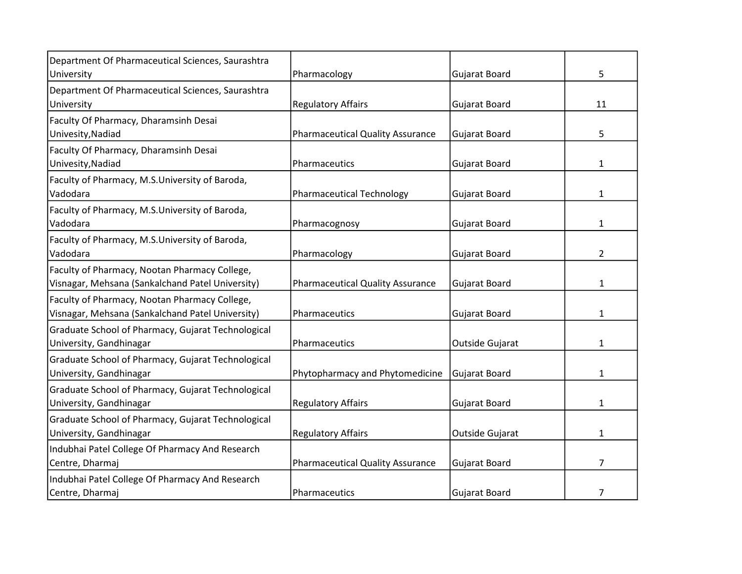| Department Of Pharmaceutical Sciences, Saurashtra  |                                         |                      |                |
|----------------------------------------------------|-----------------------------------------|----------------------|----------------|
| University                                         | Pharmacology                            | Gujarat Board        | 5              |
| Department Of Pharmaceutical Sciences, Saurashtra  |                                         |                      |                |
| University                                         | <b>Regulatory Affairs</b>               | Gujarat Board        | 11             |
| Faculty Of Pharmacy, Dharamsinh Desai              |                                         |                      |                |
| Univesity, Nadiad                                  | <b>Pharmaceutical Quality Assurance</b> | Gujarat Board        | 5              |
| Faculty Of Pharmacy, Dharamsinh Desai              |                                         |                      |                |
| Univesity, Nadiad                                  | Pharmaceutics                           | Gujarat Board        | $\mathbf{1}$   |
| Faculty of Pharmacy, M.S.University of Baroda,     |                                         |                      |                |
| Vadodara                                           | <b>Pharmaceutical Technology</b>        | Gujarat Board        | $\mathbf{1}$   |
| Faculty of Pharmacy, M.S.University of Baroda,     |                                         |                      |                |
| Vadodara                                           | Pharmacognosy                           | <b>Gujarat Board</b> | 1              |
| Faculty of Pharmacy, M.S.University of Baroda,     |                                         |                      |                |
| Vadodara                                           | Pharmacology                            | Gujarat Board        | 2              |
| Faculty of Pharmacy, Nootan Pharmacy College,      |                                         |                      |                |
| Visnagar, Mehsana (Sankalchand Patel University)   | <b>Pharmaceutical Quality Assurance</b> | Gujarat Board        | 1              |
| Faculty of Pharmacy, Nootan Pharmacy College,      |                                         |                      |                |
| Visnagar, Mehsana (Sankalchand Patel University)   | Pharmaceutics                           | Gujarat Board        | 1              |
| Graduate School of Pharmacy, Gujarat Technological |                                         |                      |                |
| University, Gandhinagar                            | Pharmaceutics                           | Outside Gujarat      | 1              |
| Graduate School of Pharmacy, Gujarat Technological |                                         |                      |                |
| University, Gandhinagar                            | Phytopharmacy and Phytomedicine         | Gujarat Board        | 1              |
| Graduate School of Pharmacy, Gujarat Technological |                                         |                      |                |
| University, Gandhinagar                            | <b>Regulatory Affairs</b>               | Gujarat Board        | $\mathbf{1}$   |
| Graduate School of Pharmacy, Gujarat Technological |                                         |                      |                |
| University, Gandhinagar                            | <b>Regulatory Affairs</b>               | Outside Gujarat      | 1              |
| Indubhai Patel College Of Pharmacy And Research    |                                         |                      |                |
| Centre, Dharmaj                                    | <b>Pharmaceutical Quality Assurance</b> | <b>Gujarat Board</b> | $\overline{7}$ |
| Indubhai Patel College Of Pharmacy And Research    |                                         |                      |                |
| Centre, Dharmaj                                    | Pharmaceutics                           | <b>Gujarat Board</b> | 7              |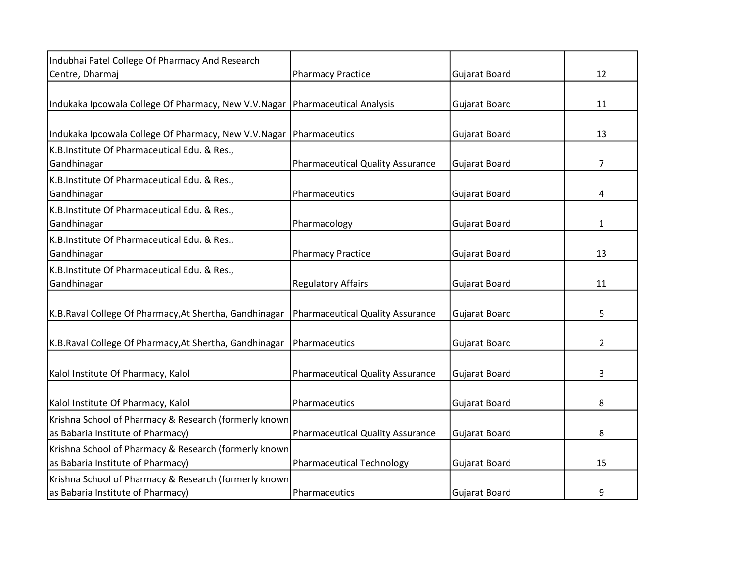| Indubhai Patel College Of Pharmacy And Research        |                                         |                      |                |
|--------------------------------------------------------|-----------------------------------------|----------------------|----------------|
| Centre, Dharmaj                                        | <b>Pharmacy Practice</b>                | Gujarat Board        | 12             |
|                                                        |                                         |                      |                |
| Indukaka Ipcowala College Of Pharmacy, New V.V.Nagar   | Pharmaceutical Analysis                 | <b>Gujarat Board</b> | 11             |
|                                                        |                                         |                      |                |
| Indukaka Ipcowala College Of Pharmacy, New V.V.Nagar   | Pharmaceutics                           | <b>Gujarat Board</b> | 13             |
| K.B.Institute Of Pharmaceutical Edu. & Res.,           |                                         |                      |                |
| Gandhinagar                                            | <b>Pharmaceutical Quality Assurance</b> | Gujarat Board        | 7              |
| K.B.Institute Of Pharmaceutical Edu. & Res.,           |                                         |                      |                |
| Gandhinagar                                            | Pharmaceutics                           | Gujarat Board        | 4              |
| K.B.Institute Of Pharmaceutical Edu. & Res.,           |                                         |                      |                |
| Gandhinagar                                            | Pharmacology                            | Gujarat Board        | 1              |
| K.B.Institute Of Pharmaceutical Edu. & Res.,           |                                         |                      |                |
| Gandhinagar                                            | <b>Pharmacy Practice</b>                | Gujarat Board        | 13             |
| K.B.Institute Of Pharmaceutical Edu. & Res.,           |                                         |                      |                |
| Gandhinagar                                            | <b>Regulatory Affairs</b>               | Gujarat Board        | 11             |
|                                                        |                                         |                      |                |
| K.B.Raval College Of Pharmacy, At Shertha, Gandhinagar | <b>Pharmaceutical Quality Assurance</b> | Gujarat Board        | 5              |
|                                                        |                                         |                      |                |
| K.B.Raval College Of Pharmacy, At Shertha, Gandhinagar | Pharmaceutics                           | <b>Gujarat Board</b> | $\overline{2}$ |
|                                                        |                                         |                      |                |
| Kalol Institute Of Pharmacy, Kalol                     | <b>Pharmaceutical Quality Assurance</b> | <b>Gujarat Board</b> | 3              |
|                                                        |                                         |                      |                |
| Kalol Institute Of Pharmacy, Kalol                     | Pharmaceutics                           | Gujarat Board        | 8              |
| Krishna School of Pharmacy & Research (formerly known  |                                         |                      |                |
| as Babaria Institute of Pharmacy)                      | <b>Pharmaceutical Quality Assurance</b> | <b>Gujarat Board</b> | 8              |
| Krishna School of Pharmacy & Research (formerly known  |                                         |                      |                |
| as Babaria Institute of Pharmacy)                      | <b>Pharmaceutical Technology</b>        | Gujarat Board        | 15             |
| Krishna School of Pharmacy & Research (formerly known  |                                         |                      |                |
| as Babaria Institute of Pharmacy)                      | Pharmaceutics                           | <b>Gujarat Board</b> | 9              |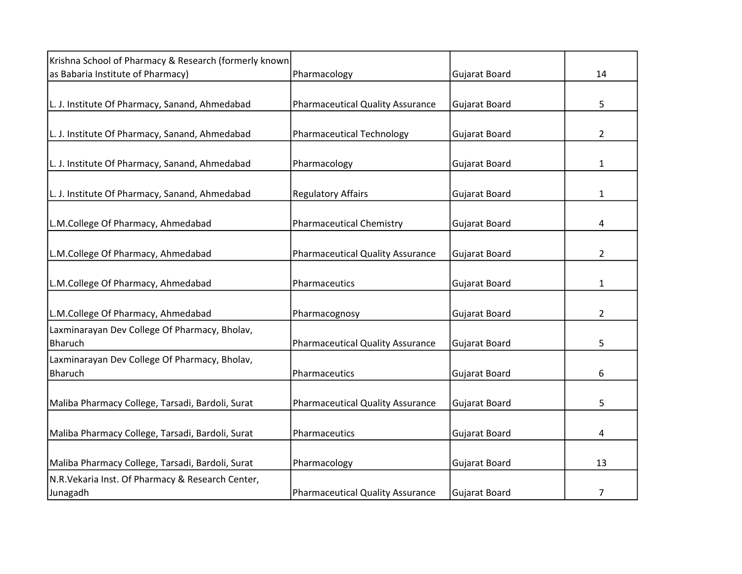| Krishna School of Pharmacy & Research (formerly known           |                                         |                      |                |
|-----------------------------------------------------------------|-----------------------------------------|----------------------|----------------|
| as Babaria Institute of Pharmacy)                               | Pharmacology                            | <b>Gujarat Board</b> | 14             |
| L. J. Institute Of Pharmacy, Sanand, Ahmedabad                  | <b>Pharmaceutical Quality Assurance</b> | <b>Gujarat Board</b> | 5              |
| L. J. Institute Of Pharmacy, Sanand, Ahmedabad                  | <b>Pharmaceutical Technology</b>        | <b>Gujarat Board</b> | $\overline{2}$ |
| L. J. Institute Of Pharmacy, Sanand, Ahmedabad                  | Pharmacology                            | <b>Gujarat Board</b> | 1              |
| L. J. Institute Of Pharmacy, Sanand, Ahmedabad                  | <b>Regulatory Affairs</b>               | Gujarat Board        | $\mathbf{1}$   |
| L.M.College Of Pharmacy, Ahmedabad                              | <b>Pharmaceutical Chemistry</b>         | Gujarat Board        | 4              |
| L.M.College Of Pharmacy, Ahmedabad                              | <b>Pharmaceutical Quality Assurance</b> | <b>Gujarat Board</b> | $\overline{2}$ |
| L.M.College Of Pharmacy, Ahmedabad                              | Pharmaceutics                           | Gujarat Board        | 1              |
| L.M.College Of Pharmacy, Ahmedabad                              | Pharmacognosy                           | <b>Gujarat Board</b> | $\overline{2}$ |
| Laxminarayan Dev College Of Pharmacy, Bholav,<br><b>Bharuch</b> | <b>Pharmaceutical Quality Assurance</b> | Gujarat Board        | 5              |
| Laxminarayan Dev College Of Pharmacy, Bholav,<br>Bharuch        | Pharmaceutics                           | <b>Gujarat Board</b> | 6              |
| Maliba Pharmacy College, Tarsadi, Bardoli, Surat                | <b>Pharmaceutical Quality Assurance</b> | <b>Gujarat Board</b> | 5              |
| Maliba Pharmacy College, Tarsadi, Bardoli, Surat                | Pharmaceutics                           | <b>Gujarat Board</b> | 4              |
| Maliba Pharmacy College, Tarsadi, Bardoli, Surat                | Pharmacology                            | Gujarat Board        | 13             |
| N.R. Vekaria Inst. Of Pharmacy & Research Center,<br>Junagadh   | <b>Pharmaceutical Quality Assurance</b> | Gujarat Board        | 7              |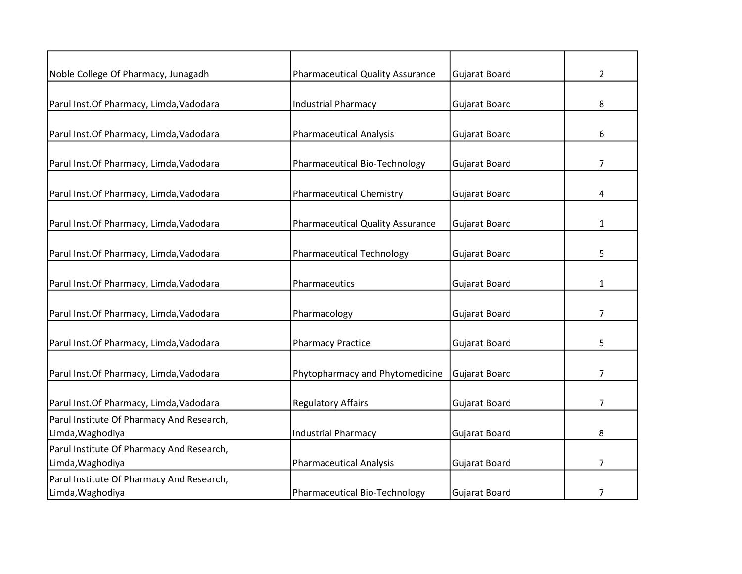| Noble College Of Pharmacy, Junagadh       | <b>Pharmaceutical Quality Assurance</b> | <b>Gujarat Board</b> | $\overline{2}$ |
|-------------------------------------------|-----------------------------------------|----------------------|----------------|
|                                           |                                         |                      |                |
| Parul Inst.Of Pharmacy, Limda, Vadodara   | <b>Industrial Pharmacy</b>              | <b>Gujarat Board</b> | 8              |
|                                           |                                         |                      |                |
| Parul Inst.Of Pharmacy, Limda, Vadodara   | <b>Pharmaceutical Analysis</b>          | <b>Gujarat Board</b> | 6              |
| Parul Inst.Of Pharmacy, Limda, Vadodara   | Pharmaceutical Bio-Technology           | <b>Gujarat Board</b> | $\overline{7}$ |
| Parul Inst.Of Pharmacy, Limda, Vadodara   | <b>Pharmaceutical Chemistry</b>         | <b>Gujarat Board</b> | 4              |
| Parul Inst.Of Pharmacy, Limda, Vadodara   | <b>Pharmaceutical Quality Assurance</b> | Gujarat Board        | $\mathbf{1}$   |
| Parul Inst.Of Pharmacy, Limda, Vadodara   | <b>Pharmaceutical Technology</b>        | <b>Gujarat Board</b> | 5              |
| Parul Inst.Of Pharmacy, Limda, Vadodara   | Pharmaceutics                           | <b>Gujarat Board</b> | 1              |
| Parul Inst.Of Pharmacy, Limda, Vadodara   | Pharmacology                            | <b>Gujarat Board</b> | 7              |
| Parul Inst.Of Pharmacy, Limda, Vadodara   | <b>Pharmacy Practice</b>                | <b>Gujarat Board</b> | 5              |
| Parul Inst.Of Pharmacy, Limda, Vadodara   | Phytopharmacy and Phytomedicine         | <b>Gujarat Board</b> | $\overline{7}$ |
| Parul Inst.Of Pharmacy, Limda, Vadodara   | <b>Regulatory Affairs</b>               | <b>Gujarat Board</b> | 7              |
| Parul Institute Of Pharmacy And Research, |                                         |                      |                |
| Limda, Waghodiya                          | <b>Industrial Pharmacy</b>              | <b>Gujarat Board</b> | 8              |
| Parul Institute Of Pharmacy And Research, |                                         |                      |                |
| Limda, Waghodiya                          | <b>Pharmaceutical Analysis</b>          | Gujarat Board        | 7              |
| Parul Institute Of Pharmacy And Research, |                                         |                      |                |
| Limda, Waghodiya                          | Pharmaceutical Bio-Technology           | Gujarat Board        | 7              |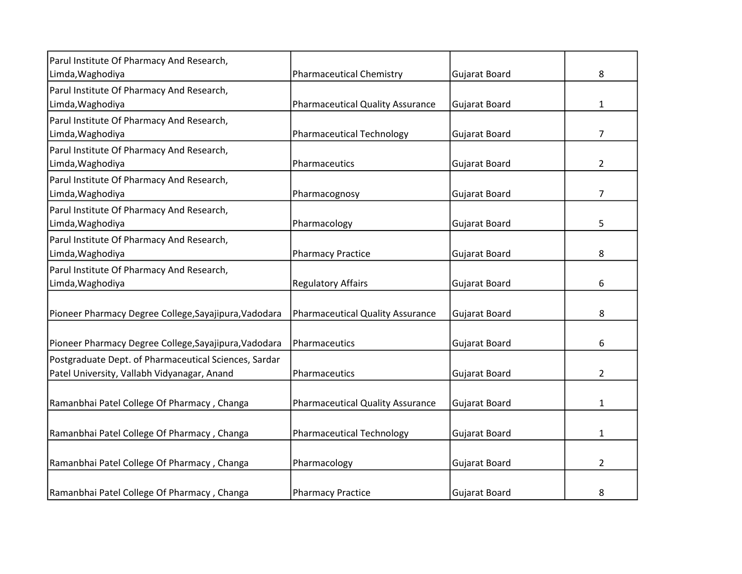| Parul Institute Of Pharmacy And Research,             |                                         |                      |                |
|-------------------------------------------------------|-----------------------------------------|----------------------|----------------|
| Limda, Waghodiya                                      | <b>Pharmaceutical Chemistry</b>         | Gujarat Board        | 8              |
| Parul Institute Of Pharmacy And Research,             |                                         |                      |                |
| Limda, Waghodiya                                      | <b>Pharmaceutical Quality Assurance</b> | Gujarat Board        | 1              |
| Parul Institute Of Pharmacy And Research,             |                                         |                      |                |
| Limda, Waghodiya                                      | <b>Pharmaceutical Technology</b>        | Gujarat Board        | 7              |
| Parul Institute Of Pharmacy And Research,             |                                         |                      |                |
| Limda, Waghodiya                                      | Pharmaceutics                           | Gujarat Board        | $\overline{2}$ |
| Parul Institute Of Pharmacy And Research,             |                                         |                      |                |
| Limda, Waghodiya                                      | Pharmacognosy                           | Gujarat Board        | 7              |
| Parul Institute Of Pharmacy And Research,             |                                         |                      |                |
| Limda, Waghodiya                                      | Pharmacology                            | Gujarat Board        | 5              |
| Parul Institute Of Pharmacy And Research,             |                                         |                      |                |
| Limda, Waghodiya                                      | <b>Pharmacy Practice</b>                | Gujarat Board        | 8              |
| Parul Institute Of Pharmacy And Research,             |                                         |                      |                |
| Limda, Waghodiya                                      | <b>Regulatory Affairs</b>               | Gujarat Board        | 6              |
|                                                       |                                         |                      |                |
| Pioneer Pharmacy Degree College, Sayajipura, Vadodara | <b>Pharmaceutical Quality Assurance</b> | Gujarat Board        | 8              |
|                                                       |                                         |                      |                |
| Pioneer Pharmacy Degree College, Sayajipura, Vadodara | Pharmaceutics                           | <b>Gujarat Board</b> | 6              |
| Postgraduate Dept. of Pharmaceutical Sciences, Sardar |                                         |                      |                |
| Patel University, Vallabh Vidyanagar, Anand           | Pharmaceutics                           | Gujarat Board        | 2              |
|                                                       |                                         |                      |                |
| Ramanbhai Patel College Of Pharmacy, Changa           | <b>Pharmaceutical Quality Assurance</b> | <b>Gujarat Board</b> | 1              |
|                                                       |                                         |                      |                |
| Ramanbhai Patel College Of Pharmacy, Changa           | <b>Pharmaceutical Technology</b>        | <b>Gujarat Board</b> | 1              |
|                                                       |                                         |                      |                |
| Ramanbhai Patel College Of Pharmacy, Changa           | Pharmacology                            | <b>Gujarat Board</b> | $\overline{2}$ |
|                                                       |                                         |                      |                |
| Ramanbhai Patel College Of Pharmacy, Changa           | <b>Pharmacy Practice</b>                | <b>Gujarat Board</b> | 8              |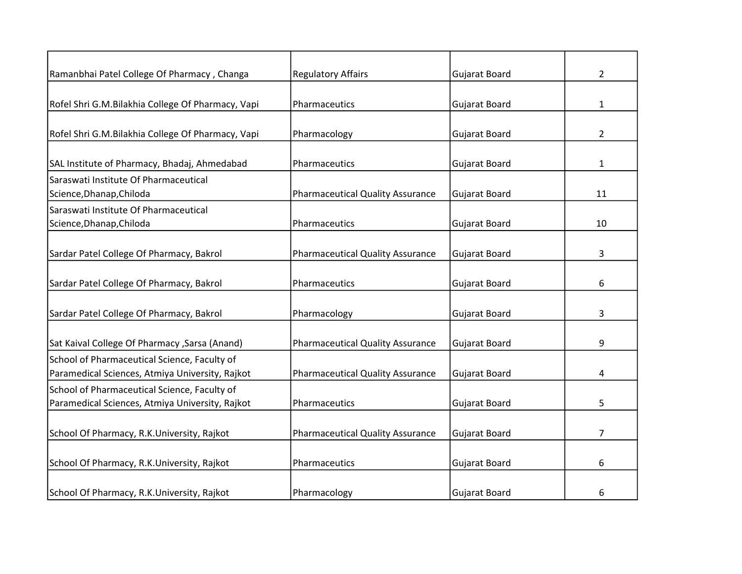| Ramanbhai Patel College Of Pharmacy, Changa       | <b>Regulatory Affairs</b>               | Gujarat Board        | $\overline{2}$ |
|---------------------------------------------------|-----------------------------------------|----------------------|----------------|
|                                                   |                                         |                      |                |
| Rofel Shri G.M.Bilakhia College Of Pharmacy, Vapi | Pharmaceutics                           | Gujarat Board        | $\mathbf{1}$   |
|                                                   |                                         |                      |                |
| Rofel Shri G.M.Bilakhia College Of Pharmacy, Vapi | Pharmacology                            | Gujarat Board        | $\overline{2}$ |
| SAL Institute of Pharmacy, Bhadaj, Ahmedabad      | Pharmaceutics                           | <b>Gujarat Board</b> | $\mathbf{1}$   |
| Saraswati Institute Of Pharmaceutical             |                                         |                      |                |
| Science, Dhanap, Chiloda                          | <b>Pharmaceutical Quality Assurance</b> | <b>Gujarat Board</b> | 11             |
| Saraswati Institute Of Pharmaceutical             |                                         |                      |                |
| Science, Dhanap, Chiloda                          | Pharmaceutics                           | <b>Gujarat Board</b> | 10             |
|                                                   |                                         |                      |                |
| Sardar Patel College Of Pharmacy, Bakrol          | <b>Pharmaceutical Quality Assurance</b> | <b>Gujarat Board</b> | 3              |
|                                                   |                                         |                      |                |
| Sardar Patel College Of Pharmacy, Bakrol          | Pharmaceutics                           | Gujarat Board        | 6              |
| Sardar Patel College Of Pharmacy, Bakrol          | Pharmacology                            | <b>Gujarat Board</b> | 3              |
|                                                   |                                         |                      |                |
| Sat Kaival College Of Pharmacy , Sarsa (Anand)    | <b>Pharmaceutical Quality Assurance</b> | Gujarat Board        | 9              |
| School of Pharmaceutical Science, Faculty of      |                                         |                      |                |
| Paramedical Sciences, Atmiya University, Rajkot   | <b>Pharmaceutical Quality Assurance</b> | Gujarat Board        | 4              |
| School of Pharmaceutical Science, Faculty of      |                                         |                      |                |
| Paramedical Sciences, Atmiya University, Rajkot   | Pharmaceutics                           | <b>Gujarat Board</b> | 5              |
| School Of Pharmacy, R.K.University, Rajkot        |                                         |                      | 7              |
|                                                   | <b>Pharmaceutical Quality Assurance</b> | Gujarat Board        |                |
| School Of Pharmacy, R.K.University, Rajkot        | Pharmaceutics                           | <b>Gujarat Board</b> | 6              |
| School Of Pharmacy, R.K.University, Rajkot        | Pharmacology                            | <b>Gujarat Board</b> | 6              |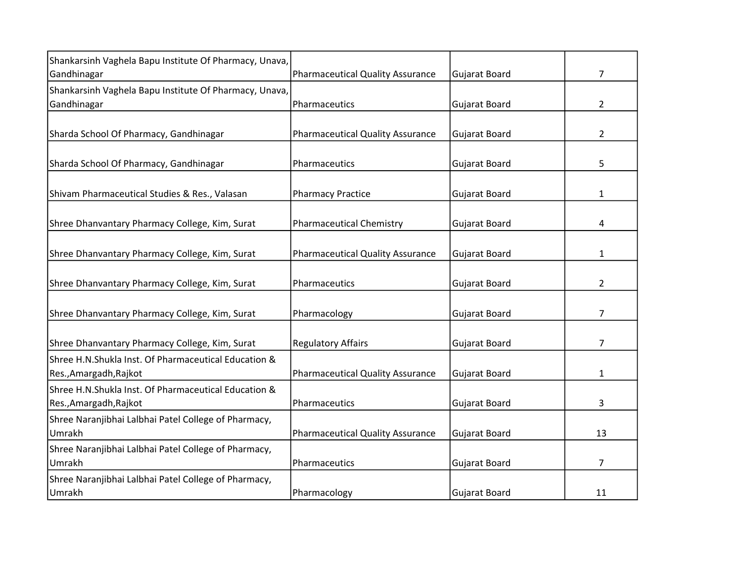| Shankarsinh Vaghela Bapu Institute Of Pharmacy, Unava,                         |                                         |                      |                |
|--------------------------------------------------------------------------------|-----------------------------------------|----------------------|----------------|
| Gandhinagar                                                                    | <b>Pharmaceutical Quality Assurance</b> | Gujarat Board        | $\overline{7}$ |
| Shankarsinh Vaghela Bapu Institute Of Pharmacy, Unava,                         |                                         |                      |                |
| Gandhinagar                                                                    | Pharmaceutics                           | Gujarat Board        | $\overline{2}$ |
|                                                                                |                                         |                      |                |
| Sharda School Of Pharmacy, Gandhinagar                                         | <b>Pharmaceutical Quality Assurance</b> | Gujarat Board        | $\overline{2}$ |
| Sharda School Of Pharmacy, Gandhinagar                                         | Pharmaceutics                           | Gujarat Board        | 5              |
| Shivam Pharmaceutical Studies & Res., Valasan                                  | <b>Pharmacy Practice</b>                | <b>Gujarat Board</b> | $\mathbf{1}$   |
| Shree Dhanvantary Pharmacy College, Kim, Surat                                 | <b>Pharmaceutical Chemistry</b>         | Gujarat Board        | 4              |
| Shree Dhanvantary Pharmacy College, Kim, Surat                                 | <b>Pharmaceutical Quality Assurance</b> | <b>Gujarat Board</b> | $\mathbf{1}$   |
| Shree Dhanvantary Pharmacy College, Kim, Surat                                 | Pharmaceutics                           | <b>Gujarat Board</b> | $\overline{2}$ |
| Shree Dhanvantary Pharmacy College, Kim, Surat                                 | Pharmacology                            | <b>Gujarat Board</b> | $\overline{7}$ |
| Shree Dhanvantary Pharmacy College, Kim, Surat                                 | <b>Regulatory Affairs</b>               | <b>Gujarat Board</b> | $\overline{7}$ |
| Shree H.N.Shukla Inst. Of Pharmaceutical Education &<br>Res., Amargadh, Rajkot | <b>Pharmaceutical Quality Assurance</b> | <b>Gujarat Board</b> | $\mathbf{1}$   |
| Shree H.N.Shukla Inst. Of Pharmaceutical Education &<br>Res., Amargadh, Rajkot | Pharmaceutics                           | Gujarat Board        | 3              |
| Shree Naranjibhai Lalbhai Patel College of Pharmacy,                           |                                         |                      |                |
| Umrakh                                                                         | <b>Pharmaceutical Quality Assurance</b> | <b>Gujarat Board</b> | 13             |
| Shree Naranjibhai Lalbhai Patel College of Pharmacy,<br>Umrakh                 | Pharmaceutics                           | Gujarat Board        | $\overline{7}$ |
| Shree Naranjibhai Lalbhai Patel College of Pharmacy,                           |                                         |                      |                |
| Umrakh                                                                         | Pharmacology                            | <b>Gujarat Board</b> | 11             |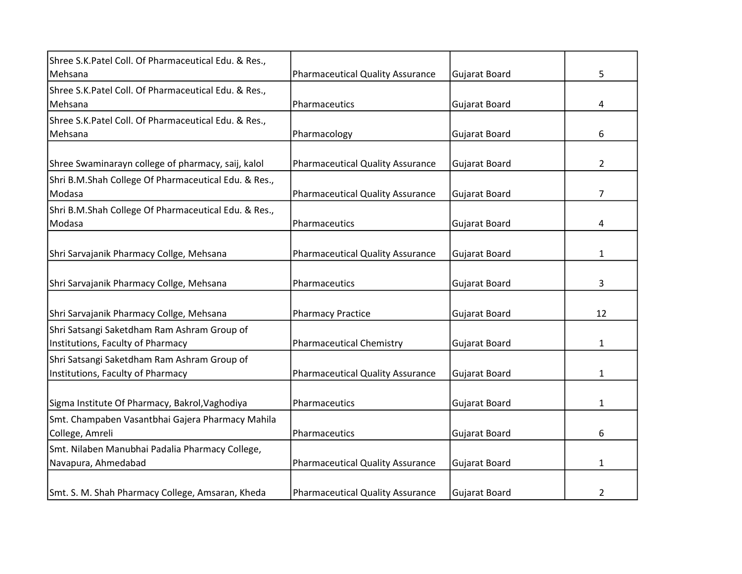| Shree S.K.Patel Coll. Of Pharmaceutical Edu. & Res., |                                         |                      |                |
|------------------------------------------------------|-----------------------------------------|----------------------|----------------|
| Mehsana                                              | <b>Pharmaceutical Quality Assurance</b> | Gujarat Board        | 5              |
| Shree S.K.Patel Coll. Of Pharmaceutical Edu. & Res., |                                         |                      |                |
| Mehsana                                              | Pharmaceutics                           | Gujarat Board        | 4              |
| Shree S.K.Patel Coll. Of Pharmaceutical Edu. & Res., |                                         |                      |                |
| Mehsana                                              | Pharmacology                            | Gujarat Board        | 6              |
|                                                      |                                         |                      |                |
| Shree Swaminarayn college of pharmacy, saij, kalol   | <b>Pharmaceutical Quality Assurance</b> | <b>Gujarat Board</b> | $\overline{2}$ |
| Shri B.M.Shah College Of Pharmaceutical Edu. & Res., |                                         |                      |                |
| Modasa                                               | <b>Pharmaceutical Quality Assurance</b> | Gujarat Board        | $\overline{7}$ |
| Shri B.M.Shah College Of Pharmaceutical Edu. & Res., |                                         |                      |                |
| Modasa                                               | Pharmaceutics                           | <b>Gujarat Board</b> | 4              |
|                                                      |                                         |                      |                |
| Shri Sarvajanik Pharmacy Collge, Mehsana             | <b>Pharmaceutical Quality Assurance</b> | Gujarat Board        | 1              |
|                                                      |                                         |                      |                |
| Shri Sarvajanik Pharmacy Collge, Mehsana             | Pharmaceutics                           | <b>Gujarat Board</b> | 3              |
|                                                      |                                         |                      |                |
| Shri Sarvajanik Pharmacy Collge, Mehsana             | <b>Pharmacy Practice</b>                | Gujarat Board        | 12             |
| Shri Satsangi Saketdham Ram Ashram Group of          |                                         |                      |                |
| Institutions, Faculty of Pharmacy                    | <b>Pharmaceutical Chemistry</b>         | <b>Gujarat Board</b> | 1              |
| Shri Satsangi Saketdham Ram Ashram Group of          |                                         |                      |                |
| Institutions, Faculty of Pharmacy                    | <b>Pharmaceutical Quality Assurance</b> | <b>Gujarat Board</b> | 1              |
|                                                      |                                         |                      |                |
| Sigma Institute Of Pharmacy, Bakrol, Vaghodiya       | Pharmaceutics                           | Gujarat Board        | $\mathbf{1}$   |
| Smt. Champaben Vasantbhai Gajera Pharmacy Mahila     |                                         |                      |                |
| College, Amreli                                      | Pharmaceutics                           | Gujarat Board        | 6              |
| Smt. Nilaben Manubhai Padalia Pharmacy College,      |                                         |                      |                |
| Navapura, Ahmedabad                                  | <b>Pharmaceutical Quality Assurance</b> | <b>Gujarat Board</b> | $\mathbf{1}$   |
|                                                      |                                         |                      |                |
| Smt. S. M. Shah Pharmacy College, Amsaran, Kheda     | <b>Pharmaceutical Quality Assurance</b> | <b>Gujarat Board</b> | 2              |